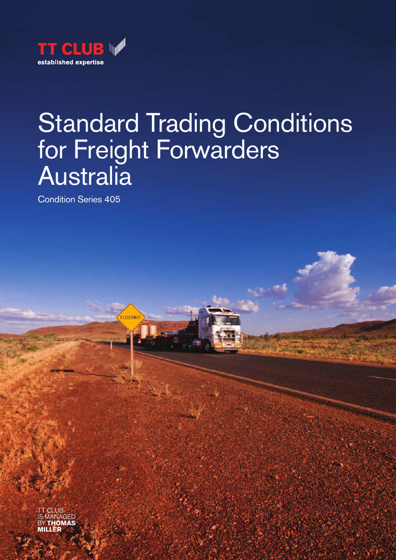

# Standard Trading Conditions for Freight Forwarders **Australia**

Condition Series 405

FLOODWA

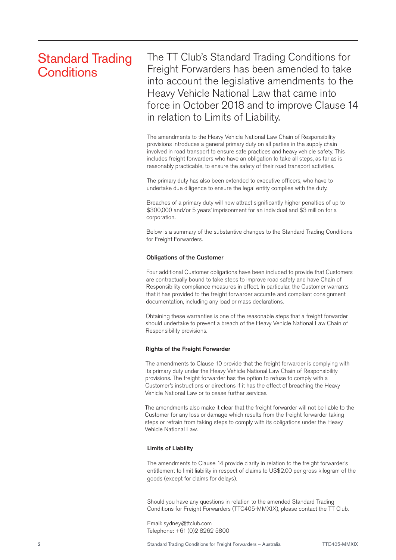# Standard Trading **Conditions**

The TT Club's Standard Trading Conditions for Freight Forwarders has been amended to take into account the legislative amendments to the Heavy Vehicle National Law that came into force in October 2018 and to improve Clause 14 in relation to Limits of Liability.

The amendments to the Heavy Vehicle National Law Chain of Responsibility provisions introduces a general primary duty on all parties in the supply chain involved in road transport to ensure safe practices and heavy vehicle safety. This includes freight forwarders who have an obligation to take all steps, as far as is reasonably practicable, to ensure the safety of their road transport activities.

The primary duty has also been extended to executive officers, who have to undertake due diligence to ensure the legal entity complies with the duty.

Breaches of a primary duty will now attract significantly higher penalties of up to \$300,000 and/or 5 years' imprisonment for an individual and \$3 million for a corporation.

Below is a summary of the substantive changes to the Standard Trading Conditions for Freight Forwarders.

### Obligations of the Customer

Four additional Customer obligations have been included to provide that Customers are contractually bound to take steps to improve road safety and have Chain of Responsibility compliance measures in effect. In particular, the Customer warrants that it has provided to the freight forwarder accurate and compliant consignment documentation, including any load or mass declarations.

Obtaining these warranties is one of the reasonable steps that a freight forwarder should undertake to prevent a breach of the Heavy Vehicle National Law Chain of Responsibility provisions.

# Rights of the Freight Forwarder

The amendments to Clause 10 provide that the freight forwarder is complying with its primary duty under the Heavy Vehicle National Law Chain of Responsibility provisions. The freight forwarder has the option to refuse to comply with a Customer's instructions or directions if it has the effect of breaching the Heavy Vehicle National Law or to cease further services.

The amendments also make it clear that the freight forwarder will not be liable to the Customer for any loss or damage which results from the freight forwarder taking steps or refrain from taking steps to comply with its obligations under the Heavy Vehicle National Law.

### Limits of Liability

The amendments to Clause 14 provide clarity in relation to the freight forwarder's entitlement to limit liability in respect of claims to US\$2.00 per gross kilogram of the goods (except for claims for delays).

Should you have any questions in relation to the amended Standard Trading Conditions for Freight Forwarders (TTC405-MMXIX), please contact the TT Club.

Email: sydney@ttclub.com Telephone: +61 (0)2 8262 5800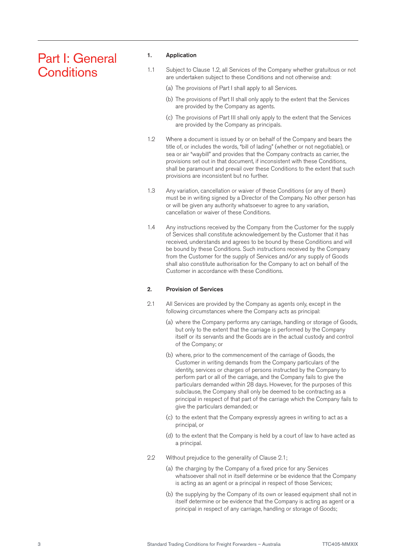# Part I: General **Conditions**

# 1. Application

- 1.1 Subject to Clause 1.2, all Services of the Company whether gratuitous or not are undertaken subject to these Conditions and not otherwise and:
	- (a) The provisions of Part I shall apply to all Services.
	- (b) The provisions of Part II shall only apply to the extent that the Services are provided by the Company as agents.
	- (c) The provisions of Part III shall only apply to the extent that the Services are provided by the Company as principals.
- 1.2 Where a document is issued by or on behalf of the Company and bears the title of, or includes the words, "bill of lading" (whether or not negotiable), or sea or air "waybill" and provides that the Company contracts as carrier, the provisions set out in that document, if inconsistent with these Conditions, shall be paramount and prevail over these Conditions to the extent that such provisions are inconsistent but no further.
- 1.3 Any variation, cancellation or waiver of these Conditions (or any of them) must be in writing signed by a Director of the Company. No other person has or will be given any authority whatsoever to agree to any variation, cancellation or waiver of these Conditions.
- 1.4 Any instructions received by the Company from the Customer for the supply of Services shall constitute acknowledgement by the Customer that it has received, understands and agrees to be bound by these Conditions and will be bound by these Conditions. Such instructions received by the Company from the Customer for the supply of Services and/or any supply of Goods shall also constitute authorisation for the Company to act on behalf of the Customer in accordance with these Conditions.

# 2. Provision of Services

- 2.1 All Services are provided by the Company as agents only, except in the following circumstances where the Company acts as principal:
	- (a) where the Company performs any carriage, handling or storage of Goods, but only to the extent that the carriage is performed by the Company itself or its servants and the Goods are in the actual custody and control of the Company; or
	- (b) where, prior to the commencement of the carriage of Goods, the Customer in writing demands from the Company particulars of the identity, services or charges of persons instructed by the Company to perform part or all of the carriage, and the Company fails to give the particulars demanded within 28 days. However, for the purposes of this subclause, the Company shall only be deemed to be contracting as a principal in respect of that part of the carriage which the Company fails to give the particulars demanded; or
	- (c) to the extent that the Company expressly agrees in writing to act as a principal, or
	- (d) to the extent that the Company is held by a court of law to have acted as a principal.
- 2.2 Without prejudice to the generality of Clause 2.1;
	- (a) the charging by the Company of a fixed price for any Services whatsoever shall not in itself determine or be evidence that the Company is acting as an agent or a principal in respect of those Services;
	- (b) the supplying by the Company of its own or leased equipment shall not in itself determine or be evidence that the Company is acting as agent or a principal in respect of any carriage, handling or storage of Goods;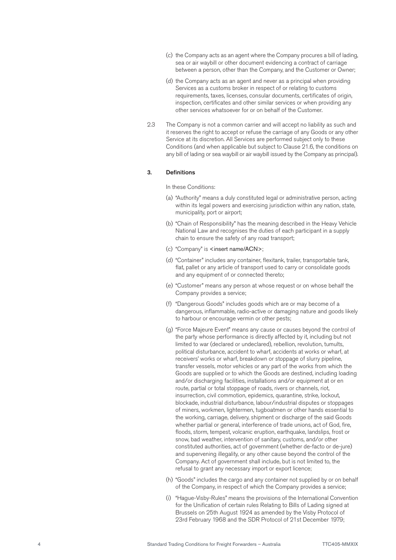- (c) the Company acts as an agent where the Company procures a bill of lading, sea or air waybill or other document evidencing a contract of carriage between a person, other than the Company, and the Customer or Owner;
- (d) the Company acts as an agent and never as a principal when providing Services as a customs broker in respect of or relating to customs requirements, taxes, licenses, consular documents, certificates of origin, inspection, certificates and other similar services or when providing any other services whatsoever for or on behalf of the Customer.
- 2.3 The Company is not a common carrier and will accept no liability as such and it reserves the right to accept or refuse the carriage of any Goods or any other Service at its discretion. All Services are performed subject only to these Conditions (and when applicable but subject to Clause 21.6, the conditions on any bill of lading or sea waybill or air waybill issued by the Company as principal).

# 3. Definitions

#### In these Conditions:

- (a) "Authority" means a duly constituted legal or administrative person, acting within its legal powers and exercising jurisdiction within any nation, state, municipality, port or airport;
- (b) "Chain of Responsibility" has the meaning described in the Heavy Vehicle National Law and recognises the duties of each participant in a supply chain to ensure the safety of any road transport;
- (c) "Company" is <insert name/ACN>;
- (d) "Container" includes any container, flexitank, trailer, transportable tank, flat, pallet or any article of transport used to carry or consolidate goods and any equipment of or connected thereto;
- (e) "Customer" means any person at whose request or on whose behalf the Company provides a service;
- (f) "Dangerous Goods" includes goods which are or may become of a dangerous, inflammable, radio-active or damaging nature and goods likely to harbour or encourage vermin or other pests;
- (g) "Force Majeure Event" means any cause or causes beyond the control of the party whose performance is directly affected by it, including but not limited to war (declared or undeclared), rebellion, revolution, tumults, political disturbance, accident to wharf, accidents at works or wharf, at receivers' works or wharf, breakdown or stoppage of slurry pipeline, transfer vessels, motor vehicles or any part of the works from which the Goods are supplied or to which the Goods are destined, including loading and/or discharging facilities, installations and/or equipment at or en route, partial or total stoppage of roads, rivers or channels, riot, insurrection, civil commotion, epidemics, quarantine, strike, lockout, blockade, industrial disturbance, labour/industrial disputes or stoppages of miners, workmen, lightermen, tugboatmen or other hands essential to the working, carriage, delivery, shipment or discharge of the said Goods whether partial or general, interference of trade unions, act of God, fire, floods, storm, tempest, volcanic eruption, earthquake, landslips, frost or snow, bad weather, intervention of sanitary, customs, and/or other constituted authorities, act of government (whether de-facto or de-jure) and supervening illegality, or any other cause beyond the control of the Company. Act of government shall include, but is not limited to, the refusal to grant any necessary import or export licence;
- (h) "Goods" includes the cargo and any container not supplied by or on behalf of the Company, in respect of which the Company provides a service;
- (i) "Hague-Visby-Rules" means the provisions of the International Convention for the Unification of certain rules Relating to Bills of Lading signed at Brussels on 25th August 1924 as amended by the Visby Protocol of 23rd February 1968 and the SDR Protocol of 21st December 1979;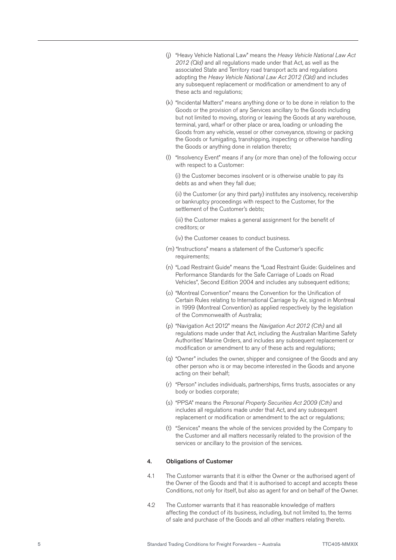- (j) "Heavy Vehicle National Law" means the *Heavy Vehicle National Law Act 2012 (Qld)* and all regulations made under that Act, as well as the associated State and Territory road transport acts and regulations adopting the *Heavy Vehicle National Law Act 2012 (Qld)* and includes any subsequent replacement or modification or amendment to any of these acts and regulations;
- (k) "Incidental Matters" means anything done or to be done in relation to the Goods or the provision of any Services ancillary to the Goods including but not limited to moving, storing or leaving the Goods at any warehouse, terminal, yard, wharf or other place or area, loading or unloading the Goods from any vehicle, vessel or other conveyance, stowing or packing the Goods or fumigating, transhipping, inspecting or otherwise handling the Goods or anything done in relation thereto;
- (l) "Insolvency Event" means if any (or more than one) of the following occur with respect to a Customer:

(i) the Customer becomes insolvent or is otherwise unable to pay its debts as and when they fall due;

(ii) the Customer (or any third party) institutes any insolvency, receivership or bankruptcy proceedings with respect to the Customer, for the settlement of the Customer's debts;

(iii) the Customer makes a general assignment for the benefit of creditors; or

(iv) the Customer ceases to conduct business.

- (m) "Instructions" means a statement of the Customer's specific requirements;
- (n) "Load Restraint Guide" means the "Load Restraint Guide: Guidelines and Performance Standards for the Safe Carriage of Loads on Road Vehicles", Second Edition 2004 and includes any subsequent editions;
- (o) "Montreal Convention" means the Convention for the Unification of Certain Rules relating to International Carriage by Air, signed in Montreal in 1999 (Montreal Convention) as applied respectively by the legislation of the Commonwealth of Australia;
- (p) "Navigation Act 2012" means the *Navigation Act 2012 (Cth)* and all regulations made under that Act, including the Australian Maritime Safety Authorities' Marine Orders, and includes any subsequent replacement or modification or amendment to any of these acts and regulations;
- (q) "Owner" includes the owner, shipper and consignee of the Goods and any other person who is or may become interested in the Goods and anyone acting on their behalf;
- (r) "Person" includes individuals, partnerships, firms trusts, associates or any body or bodies corporate;
- (s) "PPSA" means the *Personal Property Securities Act 2009 (Cth)* and includes all regulations made under that Act, and any subsequent replacement or modification or amendment to the act or regulations;
- (t) "Services" means the whole of the services provided by the Company to the Customer and all matters necessarily related to the provision of the services or ancillary to the provision of the services.

#### 4. Obligations of Customer

- 4.1 The Customer warrants that it is either the Owner or the authorised agent of the Owner of the Goods and that it is authorised to accept and accepts these Conditions, not only for itself, but also as agent for and on behalf of the Owner.
- 4.2 The Customer warrants that it has reasonable knowledge of matters affecting the conduct of its business, including, but not limited to, the terms of sale and purchase of the Goods and all other matters relating thereto.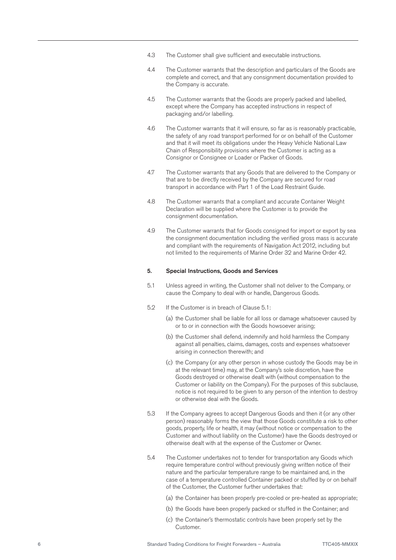- 4.3 The Customer shall give sufficient and executable instructions.
- 4.4 The Customer warrants that the description and particulars of the Goods are complete and correct, and that any consignment documentation provided to the Company is accurate.
- 4.5 The Customer warrants that the Goods are properly packed and labelled, except where the Company has accepted instructions in respect of packaging and/or labelling.
- 4.6 The Customer warrants that it will ensure, so far as is reasonably practicable, the safety of any road transport performed for or on behalf of the Customer and that it will meet its obligations under the Heavy Vehicle National Law Chain of Responsibility provisions where the Customer is acting as a Consignor or Consignee or Loader or Packer of Goods.
- 4.7 The Customer warrants that any Goods that are delivered to the Company or that are to be directly received by the Company are secured for road transport in accordance with Part 1 of the Load Restraint Guide.
- 4.8 The Customer warrants that a compliant and accurate Container Weight Declaration will be supplied where the Customer is to provide the consignment documentation.
- 4.9 The Customer warrants that for Goods consigned for import or export by sea the consignment documentation including the verified gross mass is accurate and compliant with the requirements of Navigation Act 2012, including but not limited to the requirements of Marine Order 32 and Marine Order 42.

#### 5. Special Instructions, Goods and Services

- 5.1 Unless agreed in writing, the Customer shall not deliver to the Company, or cause the Company to deal with or handle, Dangerous Goods.
- 5.2 If the Customer is in breach of Clause 5.1:
	- (a) the Customer shall be liable for all loss or damage whatsoever caused by or to or in connection with the Goods howsoever arising;
	- (b) the Customer shall defend, indemnify and hold harmless the Company against all penalties, claims, damages, costs and expenses whatsoever arising in connection therewith; and
	- (c) the Company (or any other person in whose custody the Goods may be in at the relevant time) may, at the Company's sole discretion, have the Goods destroyed or otherwise dealt with (without compensation to the Customer or liability on the Company). For the purposes of this subclause, notice is not required to be given to any person of the intention to destroy or otherwise deal with the Goods.
- 5.3 If the Company agrees to accept Dangerous Goods and then it (or any other person) reasonably forms the view that those Goods constitute a risk to other goods, property, life or health, it may (without notice or compensation to the Customer and without liability on the Customer) have the Goods destroyed or otherwise dealt with at the expense of the Customer or Owner.
- 5.4 The Customer undertakes not to tender for transportation any Goods which require temperature control without previously giving written notice of their nature and the particular temperature range to be maintained and, in the case of a temperature controlled Container packed or stuffed by or on behalf of the Customer, the Customer further undertakes that:
	- (a) the Container has been properly pre-cooled or pre-heated as appropriate;
	- (b) the Goods have been properly packed or stuffed in the Container; and
	- (c) the Container's thermostatic controls have been properly set by the Customer.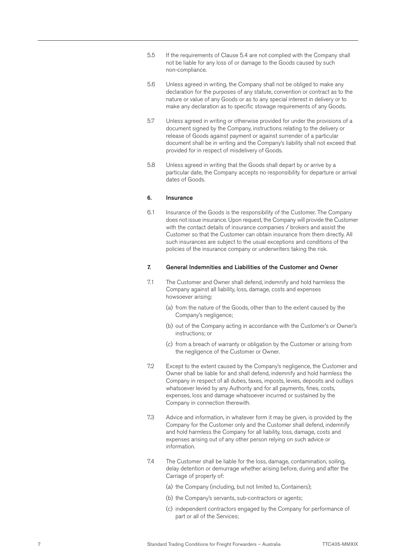- 5.5 If the requirements of Clause 5.4 are not complied with the Company shall not be liable for any loss of or damage to the Goods caused by such non-compliance.
- 5.6 Unless agreed in writing, the Company shall not be obliged to make any declaration for the purposes of any statute, convention or contract as to the nature or value of any Goods or as to any special interest in delivery or to make any declaration as to specific stowage requirements of any Goods.
- 5.7 Unless agreed in writing or otherwise provided for under the provisions of a document signed by the Company, instructions relating to the delivery or release of Goods against payment or against surrender of a particular document shall be in writing and the Company's liability shall not exceed that provided for in respect of misdelivery of Goods.
- 5.8 Unless agreed in writing that the Goods shall depart by or arrive by a particular date, the Company accepts no responsibility for departure or arrival dates of Goods.

#### 6. Insurance

6.1 Insurance of the Goods is the responsibility of the Customer. The Company does not issue insurance. Upon request, the Company will provide the Customer with the contact details of insurance companies / brokers and assist the Customer so that the Customer can obtain insurance from them directly. All such insurances are subject to the usual exceptions and conditions of the policies of the insurance company or underwriters taking the risk.

#### 7. General Indemnities and Liabilities of the Customer and Owner

- 7.1 The Customer and Owner shall defend, indemnify and hold harmless the Company against all liability, loss, damage, costs and expenses howsoever arising:
	- (a) from the nature of the Goods, other than to the extent caused by the Company's negligence;
	- (b) out of the Company acting in accordance with the Customer's or Owner's instructions; or
	- (c) from a breach of warranty or obligation by the Customer or arising from the negligence of the Customer or Owner.
- 7.2 Except to the extent caused by the Company's negligence, the Customer and Owner shall be liable for and shall defend, indemnify and hold harmless the Company in respect of all duties, taxes, imposts, levies, deposits and outlays whatsoever levied by any Authority and for all payments, fines, costs, expenses, loss and damage whatsoever incurred or sustained by the Company in connection therewith.
- 7.3 Advice and information, in whatever form it may be given, is provided by the Company for the Customer only and the Customer shall defend, indemnify and hold harmless the Company for all liability, loss, damage, costs and expenses arising out of any other person relying on such advice or information.
- 7.4 The Customer shall be liable for the loss, damage, contamination, soiling, delay detention or demurrage whether arising before, during and after the Carriage of property of:
	- (a) the Company (including, but not limited to, Containers);
	- (b) the Company's servants, sub-contractors or agents;
	- (c) independent contractors engaged by the Company for performance of part or all of the Services;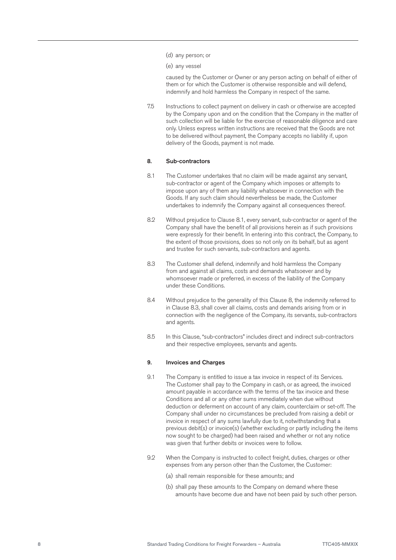- (d) any person; or
- (e) any vessel

caused by the Customer or Owner or any person acting on behalf of either of them or for which the Customer is otherwise responsible and will defend, indemnify and hold harmless the Company in respect of the same.

7.5 Instructions to collect payment on delivery in cash or otherwise are accepted by the Company upon and on the condition that the Company in the matter of such collection will be liable for the exercise of reasonable diligence and care only. Unless express written instructions are received that the Goods are not to be delivered without payment, the Company accepts no liability if, upon delivery of the Goods, payment is not made.

#### 8. Sub-contractors

- 8.1 The Customer undertakes that no claim will be made against any servant, sub-contractor or agent of the Company which imposes or attempts to impose upon any of them any liability whatsoever in connection with the Goods. If any such claim should nevertheless be made, the Customer undertakes to indemnify the Company against all consequences thereof.
- 8.2 Without prejudice to Clause 8.1, every servant, sub-contractor or agent of the Company shall have the benefit of all provisions herein as if such provisions were expressly for their benefit. In entering into this contract, the Company, to the extent of those provisions, does so not only on its behalf, but as agent and trustee for such servants, sub-contractors and agents.
- 8.3 The Customer shall defend, indemnify and hold harmless the Company from and against all claims, costs and demands whatsoever and by whomsoever made or preferred, in excess of the liability of the Company under these Conditions.
- 8.4 Without prejudice to the generality of this Clause 8, the indemnity referred to in Clause 8.3, shall cover all claims, costs and demands arising from or in connection with the negligence of the Company, its servants, sub-contractors and agents.
- 8.5 In this Clause, "sub-contractors" includes direct and indirect sub-contractors and their respective employees, servants and agents.

#### 9. Invoices and Charges

- 9.1 The Company is entitled to issue a tax invoice in respect of its Services. The Customer shall pay to the Company in cash, or as agreed, the invoiced amount payable in accordance with the terms of the tax invoice and these Conditions and all or any other sums immediately when due without deduction or deferment on account of any claim, counterclaim or set-off. The Company shall under no circumstances be precluded from raising a debit or invoice in respect of any sums lawfully due to it, notwithstanding that a previous debit(s) or invoice(s) (whether excluding or partly including the items now sought to be charged) had been raised and whether or not any notice was given that further debits or invoices were to follow.
- 9.2 When the Company is instructed to collect freight, duties, charges or other expenses from any person other than the Customer, the Customer:
	- (a) shall remain responsible for these amounts; and
	- (b) shall pay these amounts to the Company on demand where these amounts have become due and have not been paid by such other person.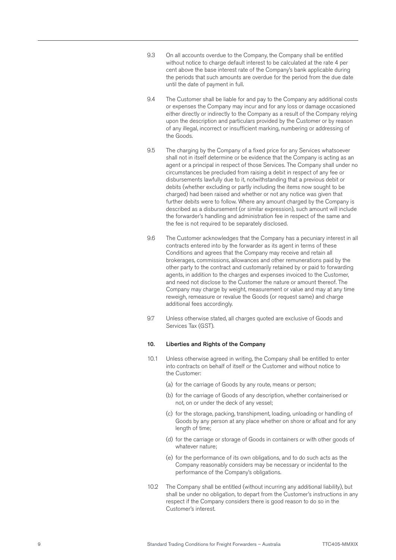- 9.3 On all accounts overdue to the Company, the Company shall be entitled without notice to charge default interest to be calculated at the rate 4 per cent above the base interest rate of the Company's bank applicable during the periods that such amounts are overdue for the period from the due date until the date of payment in full.
- 9.4 The Customer shall be liable for and pay to the Company any additional costs or expenses the Company may incur and for any loss or damage occasioned either directly or indirectly to the Company as a result of the Company relying upon the description and particulars provided by the Customer or by reason of any illegal, incorrect or insufficient marking, numbering or addressing of the Goods.
- 9.5 The charging by the Company of a fixed price for any Services whatsoever shall not in itself determine or be evidence that the Company is acting as an agent or a principal in respect of those Services. The Company shall under no circumstances be precluded from raising a debit in respect of any fee or disbursements lawfully due to it, notwithstanding that a previous debit or debits (whether excluding or partly including the items now sought to be charged) had been raised and whether or not any notice was given that further debits were to follow. Where any amount charged by the Company is described as a disbursement (or similar expression), such amount will include the forwarder's handling and administration fee in respect of the same and the fee is not required to be separately disclosed.
- 9.6 The Customer acknowledges that the Company has a pecuniary interest in all contracts entered into by the forwarder as its agent in terms of these Conditions and agrees that the Company may receive and retain all brokerages, commissions, allowances and other remunerations paid by the other party to the contract and customarily retained by or paid to forwarding agents, in addition to the charges and expenses invoiced to the Customer, and need not disclose to the Customer the nature or amount thereof. The Company may charge by weight, measurement or value and may at any time reweigh, remeasure or revalue the Goods (or request same) and charge additional fees accordingly.
- 9.7 Unless otherwise stated, all charges quoted are exclusive of Goods and Services Tax (GST).

#### 10. Liberties and Rights of the Company

- 10.1 Unless otherwise agreed in writing, the Company shall be entitled to enter into contracts on behalf of itself or the Customer and without notice to the Customer:
	- (a) for the carriage of Goods by any route, means or person;
	- (b) for the carriage of Goods of any description, whether containerised or not, on or under the deck of any vessel;
	- (c) for the storage, packing, transhipment, loading, unloading or handling of Goods by any person at any place whether on shore or afloat and for any length of time;
	- (d) for the carriage or storage of Goods in containers or with other goods of whatever nature;
	- (e) for the performance of its own obligations, and to do such acts as the Company reasonably considers may be necessary or incidental to the performance of the Company's obligations.
- 10.2 The Company shall be entitled (without incurring any additional liability), but shall be under no obligation, to depart from the Customer's instructions in any respect if the Company considers there is good reason to do so in the Customer's interest.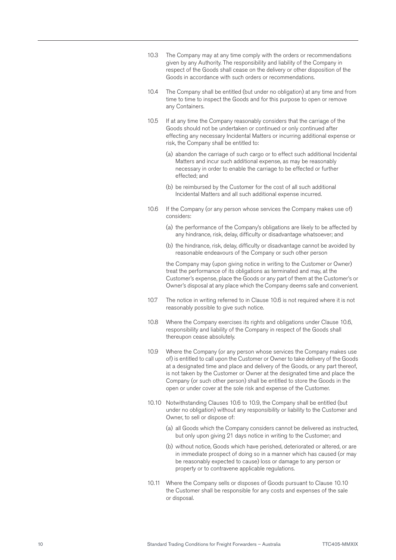- 10.3 The Company may at any time comply with the orders or recommendations given by any Authority. The responsibility and liability of the Company in respect of the Goods shall cease on the delivery or other disposition of the Goods in accordance with such orders or recommendations.
- 10.4 The Company shall be entitled (but under no obligation) at any time and from time to time to inspect the Goods and for this purpose to open or remove any Containers.
- 10.5 If at any time the Company reasonably considers that the carriage of the Goods should not be undertaken or continued or only continued after effecting any necessary Incidental Matters or incurring additional expense or risk, the Company shall be entitled to:
	- (a) abandon the carriage of such cargo or to effect such additional Incidental Matters and incur such additional expense, as may be reasonably necessary in order to enable the carriage to be effected or further effected; and
	- (b) be reimbursed by the Customer for the cost of all such additional Incidental Matters and all such additional expense incurred.
- 10.6 If the Company (or any person whose services the Company makes use of) considers:
	- (a) the performance of the Company's obligations are likely to be affected by any hindrance, risk, delay, difficulty or disadvantage whatsoever; and
	- (b) the hindrance, risk, delay, difficulty or disadvantage cannot be avoided by reasonable endeavours of the Company or such other person

the Company may (upon giving notice in writing to the Customer or Owner) treat the performance of its obligations as terminated and may, at the Customer's expense, place the Goods or any part of them at the Customer's or Owner's disposal at any place which the Company deems safe and convenient.

- 10.7 The notice in writing referred to in Clause 10.6 is not required where it is not reasonably possible to give such notice.
- 10.8 Where the Company exercises its rights and obligations under Clause 10.6, responsibility and liability of the Company in respect of the Goods shall thereupon cease absolutely.
- 10.9 Where the Company (or any person whose services the Company makes use of) is entitled to call upon the Customer or Owner to take delivery of the Goods at a designated time and place and delivery of the Goods, or any part thereof, is not taken by the Customer or Owner at the designated time and place the Company (or such other person) shall be entitled to store the Goods in the open or under cover at the sole risk and expense of the Customer.
- 10.10 Notwithstanding Clauses 10.6 to 10.9, the Company shall be entitled (but under no obligation) without any responsibility or liability to the Customer and Owner, to sell or dispose of:
	- (a) all Goods which the Company considers cannot be delivered as instructed, but only upon giving 21 days notice in writing to the Customer; and
	- (b) without notice, Goods which have perished, deteriorated or altered, or are in immediate prospect of doing so in a manner which has caused (or may be reasonably expected to cause) loss or damage to any person or property or to contravene applicable regulations.
- 10.11 Where the Company sells or disposes of Goods pursuant to Clause 10.10 the Customer shall be responsible for any costs and expenses of the sale or disposal.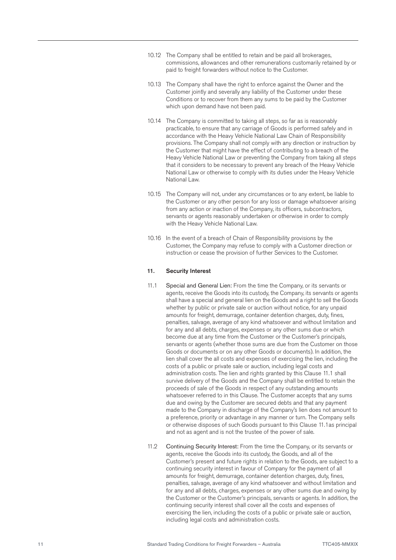- 10.12 The Company shall be entitled to retain and be paid all brokerages, commissions, allowances and other remunerations customarily retained by or paid to freight forwarders without notice to the Customer.
- 10.13 The Company shall have the right to enforce against the Owner and the Customer jointly and severally any liability of the Customer under these Conditions or to recover from them any sums to be paid by the Customer which upon demand have not been paid.
- 10.14 The Company is committed to taking all steps, so far as is reasonably practicable, to ensure that any carriage of Goods is performed safely and in accordance with the Heavy Vehicle National Law Chain of Responsibility provisions. The Company shall not comply with any direction or instruction by the Customer that might have the effect of contributing to a breach of the Heavy Vehicle National Law or preventing the Company from taking all steps that it considers to be necessary to prevent any breach of the Heavy Vehicle National Law or otherwise to comply with its duties under the Heavy Vehicle National Law.
- 10.15 The Company will not, under any circumstances or to any extent, be liable to the Customer or any other person for any loss or damage whatsoever arising from any action or inaction of the Company, its officers, subcontractors, servants or agents reasonably undertaken or otherwise in order to comply with the Heavy Vehicle National Law.
- 10.16 In the event of a breach of Chain of Responsibility provisions by the Customer, the Company may refuse to comply with a Customer direction or instruction or cease the provision of further Services to the Customer.

# 11. Security Interest

- 11.1 Special and General Lien: From the time the Company, or its servants or agents, receive the Goods into its custody, the Company, its servants or agents shall have a special and general lien on the Goods and a right to sell the Goods whether by public or private sale or auction without notice, for any unpaid amounts for freight, demurrage, container detention charges, duty, fines, penalties, salvage, average of any kind whatsoever and without limitation and for any and all debts, charges, expenses or any other sums due or which become due at any time from the Customer or the Customer's principals, servants or agents (whether those sums are due from the Customer on those Goods or documents or on any other Goods or documents). In addition, the lien shall cover the all costs and expenses of exercising the lien, including the costs of a public or private sale or auction, including legal costs and administration costs. The lien and rights granted by this Clause 11.1 shall survive delivery of the Goods and the Company shall be entitled to retain the proceeds of sale of the Goods in respect of any outstanding amounts whatsoever referred to in this Clause. The Customer accepts that any sums due and owing by the Customer are secured debts and that any payment made to the Company in discharge of the Company's lien does not amount to a preference, priority or advantage in any manner or turn. The Company sells or otherwise disposes of such Goods pursuant to this Clause 11.1as principal and not as agent and is not the trustee of the power of sale.
- 11.2 Continuing Security Interest: From the time the Company, or its servants or agents, receive the Goods into its custody, the Goods, and all of the Customer's present and future rights in relation to the Goods, are subject to a continuing security interest in favour of Company for the payment of all amounts for freight, demurrage, container detention charges, duty, fines, penalties, salvage, average of any kind whatsoever and without limitation and for any and all debts, charges, expenses or any other sums due and owing by the Customer or the Customer's principals, servants or agents. In addition, the continuing security interest shall cover all the costs and expenses of exercising the lien, including the costs of a public or private sale or auction, including legal costs and administration costs.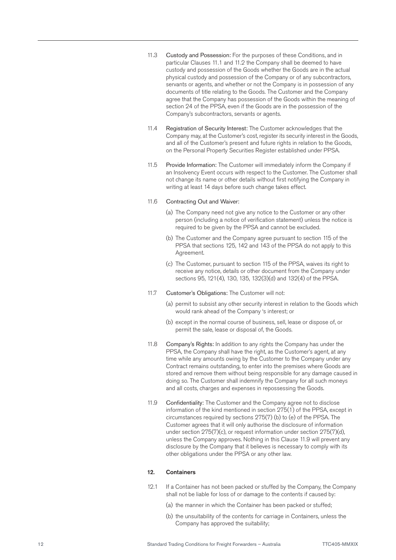- 11.3 Custody and Possession: For the purposes of these Conditions, and in particular Clauses 11.1 and 11.2 the Company shall be deemed to have custody and possession of the Goods whether the Goods are in the actual physical custody and possession of the Company or of any subcontractors, servants or agents, and whether or not the Company is in possession of any documents of title relating to the Goods. The Customer and the Company agree that the Company has possession of the Goods within the meaning of section 24 of the PPSA, even if the Goods are in the possession of the Company's subcontractors, servants or agents.
- 11.4 Registration of Security Interest: The Customer acknowledges that the Company may, at the Customer's cost, register its security interest in the Goods, and all of the Customer's present and future rights in relation to the Goods, on the Personal Property Securities Register established under PPSA.
- 11.5 Provide Information: The Customer will immediately inform the Company if an Insolvency Event occurs with respect to the Customer. The Customer shall not change its name or other details without first notifying the Company in writing at least 14 days before such change takes effect.

#### 11.6 Contracting Out and Waiver:

- (a) The Company need not give any notice to the Customer or any other person (including a notice of verification statement) unless the notice is required to be given by the PPSA and cannot be excluded.
- (b) The Customer and the Company agree pursuant to section 115 of the PPSA that sections 125, 142 and 143 of the PPSA do not apply to this Agreement.
- (c) The Customer, pursuant to section 115 of the PPSA, waives its right to receive any notice, details or other document from the Company under sections 95, 121(4), 130, 135, 132(3)(d) and 132(4) of the PPSA.
- 11.7 Customer's Obligations: The Customer will not:
	- (a) permit to subsist any other security interest in relation to the Goods which would rank ahead of the Company 's interest; or
	- (b) except in the normal course of business, sell, lease or dispose of, or permit the sale, lease or disposal of, the Goods.
- 11.8 Company's Rights: In addition to any rights the Company has under the PPSA, the Company shall have the right, as the Customer's agent, at any time while any amounts owing by the Customer to the Company under any Contract remains outstanding, to enter into the premises where Goods are stored and remove them without being responsible for any damage caused in doing so. The Customer shall indemnify the Company for all such moneys and all costs, charges and expenses in repossessing the Goods.
- 11.9 Confidentiality: The Customer and the Company agree not to disclose information of the kind mentioned in section 275(1) of the PPSA, except in circumstances required by sections 275(7) (b) to (e) of the PPSA. The Customer agrees that it will only authorise the disclosure of information under section 275(7)(c), or request information under section 275(7)(d), unless the Company approves. Nothing in this Clause 11.9 will prevent any disclosure by the Company that it believes is necessary to comply with its other obligations under the PPSA or any other law.

#### 12. Containers

- 12.1 If a Container has not been packed or stuffed by the Company, the Company shall not be liable for loss of or damage to the contents if caused by:
	- (a) the manner in which the Container has been packed or stuffed;
	- (b) the unsuitability of the contents for carriage in Containers, unless the Company has approved the suitability;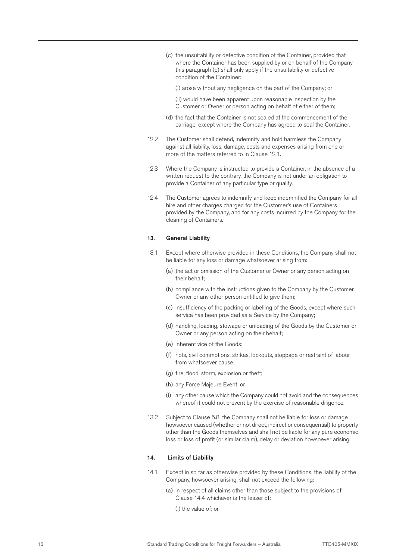(c) the unsuitability or defective condition of the Container, provided that where the Container has been supplied by or on behalf of the Company this paragraph (c) shall only apply if the unsuitability or defective condition of the Container:

(i) arose without any negligence on the part of the Company; or

(ii) would have been apparent upon reasonable inspection by the Customer or Owner or person acting on behalf of either of them;

- (d) the fact that the Container is not sealed at the commencement of the carriage, except where the Company has agreed to seal the Container.
- 12.2 The Customer shall defend, indemnify and hold harmless the Company against all liability, loss, damage, costs and expenses arising from one or more of the matters referred to in Clause 12.1.
- 12.3 Where the Company is instructed to provide a Container, in the absence of a written request to the contrary, the Company is not under an obligation to provide a Container of any particular type or quality.
- 12.4 The Customer agrees to indemnify and keep indemnified the Company for all hire and other charges charged for the Customer's use of Containers provided by the Company, and for any costs incurred by the Company for the cleaning of Containers.

#### 13. General Liability

- 13.1 Except where otherwise provided in these Conditions, the Company shall not be liable for any loss or damage whatsoever arising from:
	- (a) the act or omission of the Customer or Owner or any person acting on their behalf;
	- (b) compliance with the instructions given to the Company by the Customer, Owner or any other person entitled to give them;
	- (c) insufficiency of the packing or labelling of the Goods, except where such service has been provided as a Service by the Company;
	- (d) handling, loading, stowage or unloading of the Goods by the Customer or Owner or any person acting on their behalf;
	- (e) inherent vice of the Goods;
	- (f) riots, civil commotions, strikes, lockouts, stoppage or restraint of labour from whatsoever cause;
	- (g) fire, flood, storm, explosion or theft;
	- (h) any Force Majeure Event; or
	- (i) any other cause which the Company could not avoid and the consequences whereof it could not prevent by the exercise of reasonable diligence.
- 13.2 Subject to Clause 5.8, the Company shall not be liable for loss or damage howsoever caused (whether or not direct, indirect or consequential) to property other than the Goods themselves and shall not be liable for any pure economic loss or loss of profit (or similar claim), delay or deviation howsoever arising.

#### 14. Limits of Liability

- 14.1 Except in so far as otherwise provided by these Conditions, the liability of the Company, howsoever arising, shall not exceed the following:
	- (a) in respect of all claims other than those subject to the provisions of Clause 14.4 whichever is the lesser of:
		- (i) the value of; or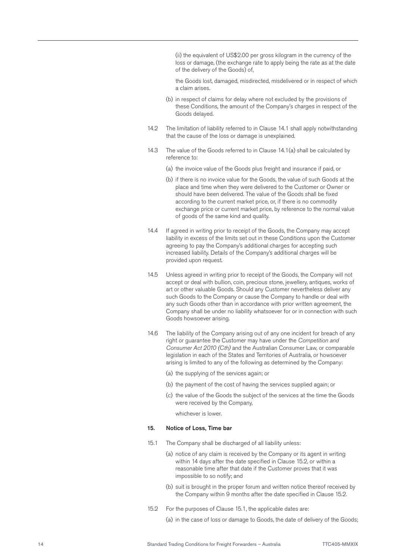(ii) the equivalent of US\$2.00 per gross kilogram in the currency of the loss or damage, (the exchange rate to apply being the rate as at the date of the delivery of the Goods) of,

the Goods lost, damaged, misdirected, misdelivered or in respect of which a claim arises.

- (b) in respect of claims for delay where not excluded by the provisions of these Conditions, the amount of the Company's charges in respect of the Goods delayed.
- 14.2 The limitation of liability referred to in Clause 14.1 shall apply notwithstanding that the cause of the loss or damage is unexplained.
- 14.3 The value of the Goods referred to in Clause 14.1(a) shall be calculated by reference to:
	- (a) the invoice value of the Goods plus freight and insurance if paid, or
	- (b) if there is no invoice value for the Goods, the value of such Goods at the place and time when they were delivered to the Customer or Owner or should have been delivered. The value of the Goods shall be fixed according to the current market price, or, if there is no commodity exchange price or current market price, by reference to the normal value of goods of the same kind and quality.
- 14.4 If agreed in writing prior to receipt of the Goods, the Company may accept liability in excess of the limits set out in these Conditions upon the Customer agreeing to pay the Company's additional charges for accepting such increased liability. Details of the Company's additional charges will be provided upon request.
- 14.5 Unless agreed in writing prior to receipt of the Goods, the Company will not accept or deal with bullion, coin, precious stone, jewellery, antiques, works of art or other valuable Goods. Should any Customer nevertheless deliver any such Goods to the Company or cause the Company to handle or deal with any such Goods other than in accordance with prior written agreement, the Company shall be under no liability whatsoever for or in connection with such Goods howsoever arising.
- 14.6 The liability of the Company arising out of any one incident for breach of any right or guarantee the Customer may have under the *Competition and Consumer Act 2010 (Cth)* and the Australian Consumer Law, or comparable legislation in each of the States and Territories of Australia, or howsoever arising is limited to any of the following as determined by the Company:
	- (a) the supplying of the services again; or
	- (b) the payment of the cost of having the services supplied again; or
	- (c) the value of the Goods the subject of the services at the time the Goods were received by the Company,

whichever is lower.

# 15. Notice of Loss, Time bar

- 15.1 The Company shall be discharged of all liability unless:
	- (a) notice of any claim is received by the Company or its agent in writing within 14 days after the date specified in Clause 15.2, or within a reasonable time after that date if the Customer proves that it was impossible to so notify; and
	- (b) suit is brought in the proper forum and written notice thereof received by the Company within 9 months after the date specified in Clause 15.2.
- 15.2 For the purposes of Clause 15.1, the applicable dates are:

(a) in the case of loss or damage to Goods, the date of delivery of the Goods;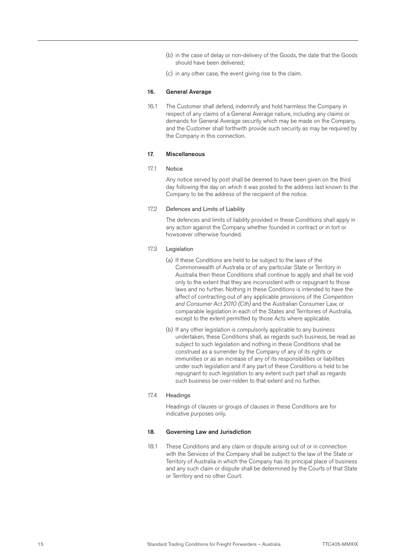- (b) in the case of delay or non-delivery of the Goods, the date that the Goods should have been delivered;
- (c) in any other case, the event giving rise to the claim.

### 16. General Average

16.1 The Customer shall defend, indemnify and hold harmless the Company in respect of any claims of a General Average nature, including any claims or demands for General Average security which may be made on the Company, and the Customer shall forthwith provide such security as may be required by the Company in this connection.

#### 17. Miscellaneous

#### 17.1 Notice

Any notice served by post shall be deemed to have been given on the third day following the day on which it was posted to the address last known to the Company to be the address of the recipient of the notice.

#### 17.2 Defences and Limits of Liability

The defences and limits of liability provided in these Conditions shall apply in any action against the Company whether founded in contract or in tort or howsoever otherwise founded.

#### 17.3 Legislation

- (a) If these Conditions are held to be subject to the laws of the Commonwealth of Australia or of any particular State or Territory in Australia then these Conditions shall continue to apply and shall be void only to the extent that they are inconsistent with or repugnant to those laws and no further. Nothing in these Conditions is intended to have the affect of contracting out of any applicable provisions of the *Competition and Consumer Act 2010 (Cth)* and the Australian Consumer Law, or comparable legislation in each of the States and Territories of Australia, except to the extent permitted by those Acts where applicable.
- (b) If any other legislation is compulsorily applicable to any business undertaken, these Conditions shall, as regards such business, be read as subject to such legislation and nothing in these Conditions shall be construed as a surrender by the Company of any of its rights or immunities or as an increase of any of its responsibilities or liabilities under such legislation and if any part of these Conditions is held to be repugnant to such legislation to any extent such part shall as regards such business be over-ridden to that extent and no further.

#### 17.4 Headings

Headings of clauses or groups of clauses in these Conditions are for indicative purposes only.

### 18. Governing Law and Jurisdiction

18.1 These Conditions and any claim or dispute arising out of or in connection with the Services of the Company shall be subject to the law of the State or Territory of Australia in which the Company has its principal place of business and any such claim or dispute shall be determined by the Courts of that State or Territory and no other Court.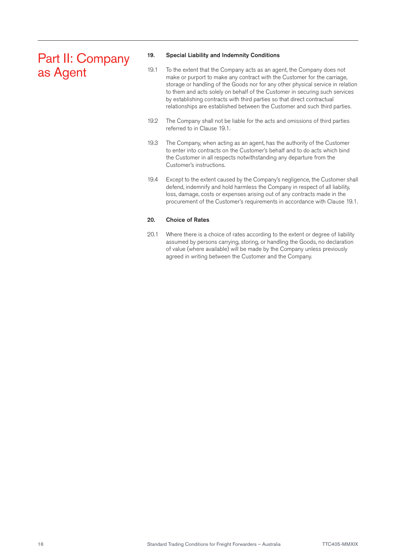# Part II: Company as Agent

# 19. Special Liability and Indemnity Conditions

- 19.1 To the extent that the Company acts as an agent, the Company does not make or purport to make any contract with the Customer for the carriage, storage or handling of the Goods nor for any other physical service in relation to them and acts solely on behalf of the Customer in securing such services by establishing contracts with third parties so that direct contractual relationships are established between the Customer and such third parties.
- 19.2 The Company shall not be liable for the acts and omissions of third parties referred to in Clause 19.1.
- 19.3 The Company, when acting as an agent, has the authority of the Customer to enter into contracts on the Customer's behalf and to do acts which bind the Customer in all respects notwithstanding any departure from the Customer's instructions.
- 19.4 Except to the extent caused by the Company's negligence, the Customer shall defend, indemnify and hold harmless the Company in respect of all liability, loss, damage, costs or expenses arising out of any contracts made in the procurement of the Customer's requirements in accordance with Clause 19.1.

# 20. Choice of Rates

20.1 Where there is a choice of rates according to the extent or degree of liability assumed by persons carrying, storing, or handling the Goods, no declaration of value (where available) will be made by the Company unless previously agreed in writing between the Customer and the Company.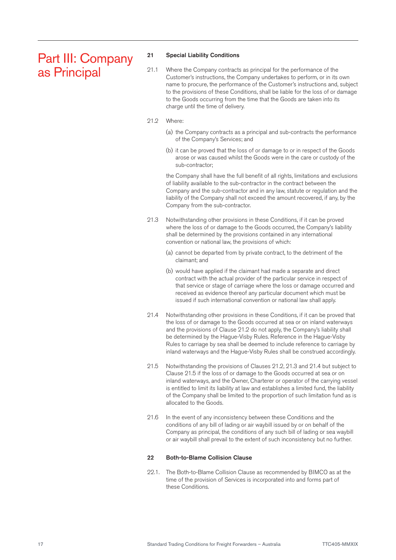# Part III: Company as Principal

### 21 Special Liability Conditions

- 21.1 Where the Company contracts as principal for the performance of the Customer's instructions, the Company undertakes to perform, or in its own name to procure, the performance of the Customer's instructions and, subject to the provisions of these Conditions, shall be liable for the loss of or damage to the Goods occurring from the time that the Goods are taken into its charge until the time of delivery.
- 21.2 Where:
	- (a) the Company contracts as a principal and sub-contracts the performance of the Company's Services; and
	- (b) it can be proved that the loss of or damage to or in respect of the Goods arose or was caused whilst the Goods were in the care or custody of the sub-contractor;

the Company shall have the full benefit of all rights, limitations and exclusions of liability available to the sub-contractor in the contract between the Company and the sub-contractor and in any law, statute or regulation and the liability of the Company shall not exceed the amount recovered, if any, by the Company from the sub-contractor.

- 21.3 Notwithstanding other provisions in these Conditions, if it can be proved where the loss of or damage to the Goods occurred, the Company's liability shall be determined by the provisions contained in any international convention or national law, the provisions of which:
	- (a) cannot be departed from by private contract, to the detriment of the claimant; and
	- (b) would have applied if the claimant had made a separate and direct contract with the actual provider of the particular service in respect of that service or stage of carriage where the loss or damage occurred and received as evidence thereof any particular document which must be issued if such international convention or national law shall apply.
- 21.4 Notwithstanding other provisions in these Conditions, if it can be proved that the loss of or damage to the Goods occurred at sea or on inland waterways and the provisions of Clause 21.2 do not apply, the Company's liability shall be determined by the Hague-Visby Rules. Reference in the Hague-Visby Rules to carriage by sea shall be deemed to include reference to carriage by inland waterways and the Hague-Visby Rules shall be construed accordingly.
- 21.5 Notwithstanding the provisions of Clauses 21.2, 21.3 and 21.4 but subject to Clause 21.5 if the loss of or damage to the Goods occurred at sea or on inland waterways, and the Owner, Charterer or operator of the carrying vessel is entitled to limit its liability at law and establishes a limited fund, the liability of the Company shall be limited to the proportion of such limitation fund as is allocated to the Goods.
- 21.6 In the event of any inconsistency between these Conditions and the conditions of any bill of lading or air waybill issued by or on behalf of the Company as principal, the conditions of any such bill of lading or sea waybill or air waybill shall prevail to the extent of such inconsistency but no further.

# 22 Both-to-Blame Collision Clause

22.1. The Both-to-Blame Collision Clause as recommended by BIMCO as at the time of the provision of Services is incorporated into and forms part of these Conditions.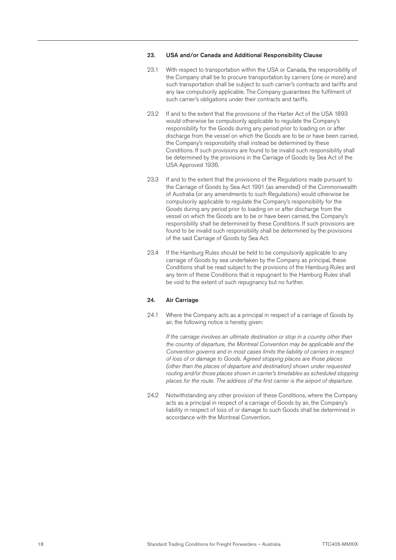# 23. USA and/or Canada and Additional Responsibility Clause

- 23.1 With respect to transportation within the USA or Canada, the responsibility of the Company shall be to procure transportation by carriers (one or more) and such transportation shall be subject to such carrier's contracts and tariffs and any law compulsorily applicable. The Company guarantees the fulfilment of such carrier's obligations under their contracts and tariffs.
- 23.2 If and to the extent that the provisions of the Harter Act of the USA 1893 would otherwise be compulsorily applicable to regulate the Company's responsibility for the Goods during any period prior to loading on or after discharge from the vessel on which the Goods are to be or have been carried, the Company's responsibility shall instead be determined by these Conditions. If such provisions are found to be invalid such responsibility shall be determined by the provisions in the Carriage of Goods by Sea Act of the USA Approved 1936.
- 23.3 If and to the extent that the provisions of the Regulations made pursuant to the Carriage of Goods by Sea Act 1991 (as amended) of the Commonwealth of Australia (or any amendments to such Regulations) would otherwise be compulsorily applicable to regulate the Company's responsibility for the Goods during any period prior to loading on or after discharge from the vessel on which the Goods are to be or have been carried, the Company's responsibility shall be determined by these Conditions. If such provisions are found to be invalid such responsibility shall be determined by the provisions of the said Carriage of Goods by Sea Act.
- 23.4 If the Hamburg Rules should be held to be compulsorily applicable to any carriage of Goods by sea undertaken by the Company as principal, these Conditions shall be read subject to the provisions of the Hamburg Rules and any term of these Conditions that is repugnant to the Hamburg Rules shall be void to the extent of such repugnancy but no further.

#### 24. Air Carriage

24.1 Where the Company acts as a principal in respect of a carriage of Goods by air, the following notice is hereby given:

*If the carriage involves an ultimate destination or stop in a country other than the country of departure, the Montreal Convention may be applicable and the Convention governs and in most cases limits the liability of carriers in respect of loss of or damage to Goods. Agreed stopping places are those places (other than the places of departure and destination) shown under requested routing and/or those places shown in carrier's timetables as scheduled stopping places for the route. The address of the first carrier is the airport of departure.*

24.2 Notwithstanding any other provision of these Conditions, where the Company acts as a principal in respect of a carriage of Goods by air, the Company's liability in respect of loss of or damage to such Goods shall be determined in accordance with the Montreal Convention.